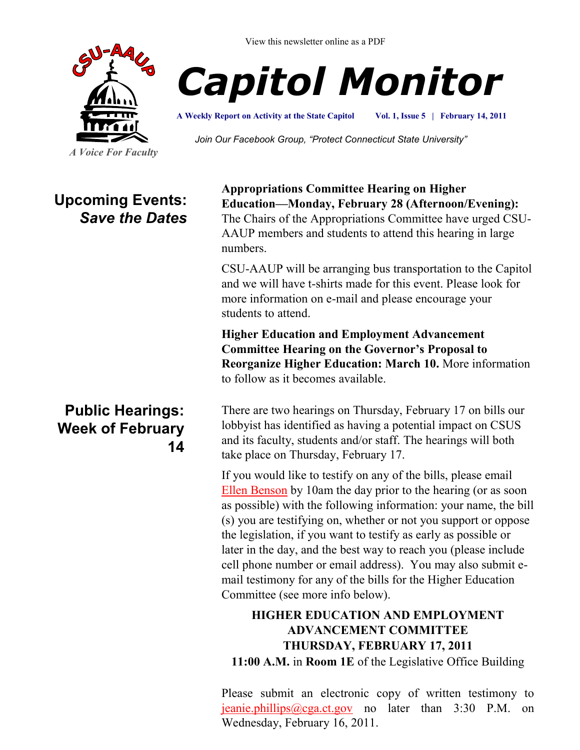



**A Weekly Report on Activity at the State Capitol**

**Vol. 1, Issue 5 | February 14, 2011**

*Join Our Facebook Group, "Protect Connecticut State University"*

**Upcoming Events:**  *Save the Dates*

# **Public Hearings: Week of February 14**

**Appropriations Committee Hearing on Higher Education—Monday, February 28 (Afternoon/Evening):**  The Chairs of the Appropriations Committee have urged CSU-AAUP members and students to attend this hearing in large numbers.

CSU-AAUP will be arranging bus transportation to the Capitol and we will have t-shirts made for this event. Please look for more information on e-mail and please encourage your students to attend.

**Higher Education and Employment Advancement Committee Hearing on the Governor's Proposal to Reorganize Higher Education: March 10.** More information to follow as it becomes available.

There are two hearings on Thursday, February 17 on bills our lobbyist has identified as having a potential impact on CSUS and its faculty, students and/or staff. The hearings will both take place on Thursday, February 17.

If you would like to testify on any of the bills, please email [Ellen Benson](mailto:bensonell@ccsu.edu?subject=Sign%20Me%20Up%20to%20Testify) by 10am the day prior to the hearing (or as soon as possible) with the following information: your name, the bill (s) you are testifying on, whether or not you support or oppose the legislation, if you want to testify as early as possible or later in the day, and the best way to reach you (please include cell phone number or email address). You may also submit email testimony for any of the bills for the Higher Education Committee (see more info below).

#### **HIGHER EDUCATION AND EMPLOYMENT ADVANCEMENT COMMITTEE THURSDAY, FEBRUARY 17, 2011 11:00 A.M.** in **Room 1E** of the Legislative Office Building

Please submit an electronic copy of written testimony to [jeanie.phillips@cga.ct.gov](mailto:jeanie.phillips@cga.ct.gov) no later than  $3:30$  P.M. on Wednesday, February 16, 2011.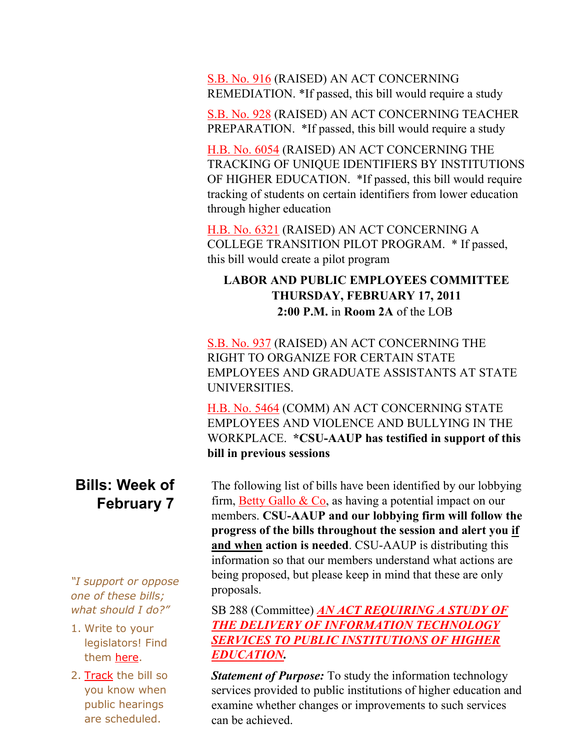[S.B. No. 916](http://www.cga.ct.gov/2011/TOB/S/2011SB-00916-R00-SB.htm) (RAISED) AN ACT CONCERNING REMEDIATION. \*If passed, this bill would require a study

[S.B. No. 928](http://www.cga.ct.gov/2011/TOB/S/2011SB-00928-R00-SB.htm) (RAISED) AN ACT CONCERNING TEACHER PREPARATION. \*If passed, this bill would require a study

[H.B. No. 6054](http://www.cga.ct.gov/2011/TOB/H/2011HB-06054-R00-HB.htm) (RAISED) AN ACT CONCERNING THE TRACKING OF UNIQUE IDENTIFIERS BY INSTITUTIONS OF HIGHER EDUCATION. \*If passed, this bill would require tracking of students on certain identifiers from lower education through higher education

[H.B. No. 6321](http://www.cga.ct.gov/2011/TOB/H/2011HB-06321-R00-HB.htm) (RAISED) AN ACT CONCERNING A COLLEGE TRANSITION PILOT PROGRAM. \* If passed, this bill would create a pilot program

### **LABOR AND PUBLIC EMPLOYEES COMMITTEE THURSDAY, FEBRUARY 17, 2011 2:00 P.M.** in **Room 2A** of the LOB

[S.B. No. 937](http://www.cga.ct.gov/2011/TOB/S/2011SB-00937-R00-SB.htm) (RAISED) AN ACT CONCERNING THE RIGHT TO ORGANIZE FOR CERTAIN STATE EMPLOYEES AND GRADUATE ASSISTANTS AT STATE UNIVERSITIES.

[H.B. No. 5464](http://www.cga.ct.gov/2011/TOB/H/2011HB-05464-R01-HB.htm) (COMM) AN ACT CONCERNING STATE EMPLOYEES AND VIOLENCE AND BULLYING IN THE WORKPLACE. **\*CSU-AAUP has testified in support of this bill in previous sessions**

## **Bills: Week of February 7**

*"I support or oppose one of these bills; what should I do?"*

- 1. Write to your legislators! Find them [here.](http://www.congressweb.com/cweb4/index.cfm?orgcode=BGAUP)
- 2. [Track](http://www.cga.ct.gov/aspx/CGAPublicBillTrack/Register.aspx) the bill so you know when public hearings are scheduled.

The following list of bills have been identified by our lobbying firm, [Betty Gallo & Co,](http://www.bettygallo.com/) as having a potential impact on our members. **CSU-AAUP and our lobbying firm will follow the progress of the bills throughout the session and alert you if and when action is needed**. CSU-AAUP is distributing this information so that our members understand what actions are being proposed, but please keep in mind that these are only proposals.

SB 288 (Committee) *[AN ACT REQUIRING A STUDY OF](http://www.cga.ct.gov/2011/TOB/S/2011SB-00288-R01-SB.htm)  [THE DELIVERY OF INFORMATION TECHNOLOGY](http://www.cga.ct.gov/2011/TOB/S/2011SB-00288-R01-SB.htm)  [SERVICES TO PUBLIC INSTITUTIONS OF HIGHER](http://www.cga.ct.gov/2011/TOB/S/2011SB-00288-R01-SB.htm)  [EDUCATION.](http://www.cga.ct.gov/2011/TOB/S/2011SB-00288-R01-SB.htm)*

*Statement of Purpose:* To study the information technology services provided to public institutions of higher education and examine whether changes or improvements to such services can be achieved.